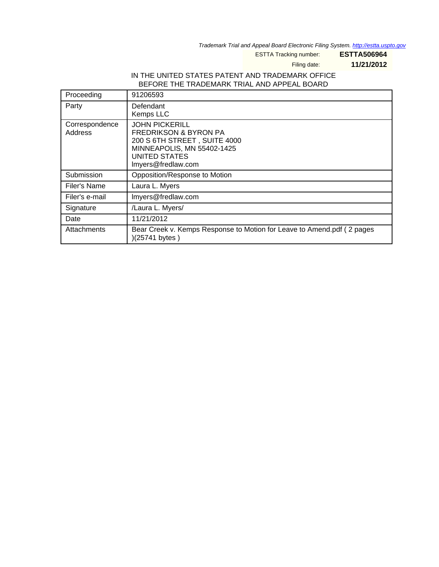Trademark Trial and Appeal Board Electronic Filing System. <http://estta.uspto.gov>

ESTTA Tracking number: **ESTTA506964**

Filing date: **11/21/2012**

## IN THE UNITED STATES PATENT AND TRADEMARK OFFICE BEFORE THE TRADEMARK TRIAL AND APPEAL BOARD

| Proceeding                | 91206593                                                                                                                                                              |
|---------------------------|-----------------------------------------------------------------------------------------------------------------------------------------------------------------------|
| Party                     | Defendant<br>Kemps LLC                                                                                                                                                |
| Correspondence<br>Address | <b>JOHN PICKERILL</b><br><b>FREDRIKSON &amp; BYRON PA</b><br>200 S 6TH STREET, SUITE 4000<br>MINNEAPOLIS, MN 55402-1425<br><b>UNITED STATES</b><br>Imyers@fredlaw.com |
| Submission                | Opposition/Response to Motion                                                                                                                                         |
| Filer's Name              | Laura L. Myers                                                                                                                                                        |
| Filer's e-mail            | Imyers@fredlaw.com                                                                                                                                                    |
| Signature                 | /Laura L. Myers/                                                                                                                                                      |
| Date                      | 11/21/2012                                                                                                                                                            |
| Attachments               | Bear Creek v. Kemps Response to Motion for Leave to Amend.pdf (2 pages<br>)(25741 bytes)                                                                              |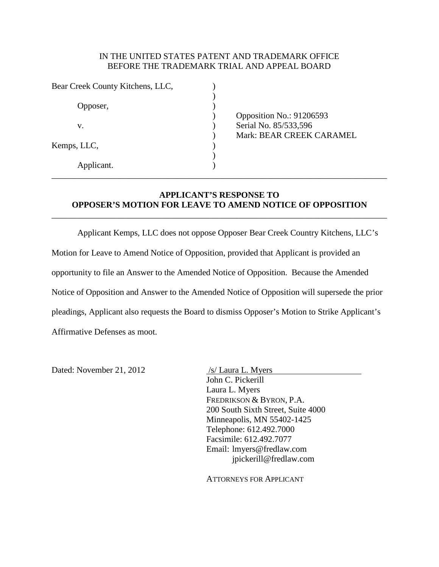## IN THE UNITED STATES PATENT AND TRADEMARK OFFICE BEFORE THE TRADEMARK TRIAL AND APPEAL BOARD

| Opposition No.: 91206593 |
|--------------------------|
| Serial No. 85/533,596    |
| Mark: BEAR CREEK CARAMEL |
|                          |
|                          |
|                          |
|                          |

## **APPLICANT'S RESPONSE TO OPPOSER'S MOTION FOR LEAVE TO AMEND NOTICE OF OPPOSITION**

\_\_\_\_\_\_\_\_\_\_\_\_\_\_\_\_\_\_\_\_\_\_\_\_\_\_\_\_\_\_\_\_\_\_\_\_\_\_\_\_\_\_\_\_\_\_\_\_\_\_\_\_\_\_\_\_\_\_\_\_\_\_\_\_\_\_\_\_\_\_\_\_\_\_\_\_\_\_

\_\_\_\_\_\_\_\_\_\_\_\_\_\_\_\_\_\_\_\_\_\_\_\_\_\_\_\_\_\_\_\_\_\_\_\_\_\_\_\_\_\_\_\_\_\_\_\_\_\_\_\_\_\_\_\_\_\_\_\_\_\_\_\_\_\_\_\_\_\_\_\_\_\_\_\_\_\_

Applicant Kemps, LLC does not oppose Opposer Bear Creek Country Kitchens, LLC's

Motion for Leave to Amend Notice of Opposition, provided that Applicant is provided an

opportunity to file an Answer to the Amended Notice of Opposition. Because the Amended

Notice of Opposition and Answer to the Amended Notice of Opposition will supersede the prior

pleadings, Applicant also requests the Board to dismiss Opposer's Motion to Strike Applicant's

Affirmative Defenses as moot.

Dated: November 21, 2012 /s/ Laura L. Myers

 John C. Pickerill Laura L. Myers FREDRIKSON & BYRON, P.A. 200 South Sixth Street, Suite 4000 Minneapolis, MN 55402-1425 Telephone: 612.492.7000 Facsimile: 612.492.7077 Email: [lmyers@fredlaw.com](mailto:lmyers@fredlaw.com) [jpickerill@fredlaw.com](mailto:jpickerill@fredlaw.com)

ATTORNEYS FOR APPLICANT